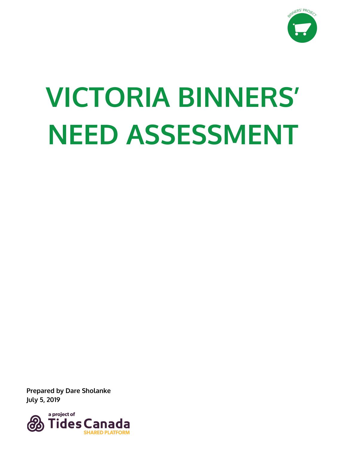

# **VICTORIA BINNERS' NEED ASSESSMENT**

**Prepared by Dare Sholanke July 5, 2019**

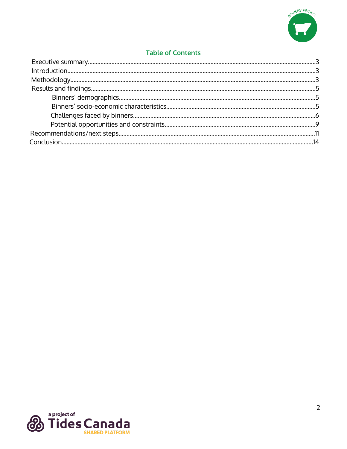

# **Table of Contents**

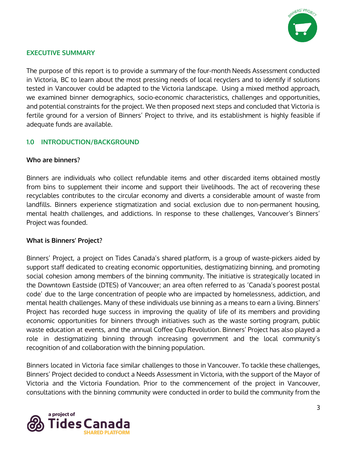

## **EXECUTIVE SUMMARY**

The purpose of this report is to provide a summary of the four-month Needs Assessment conducted in Victoria, BC to learn about the most pressing needs of local recyclers and to identify if solutions tested in Vancouver could be adapted to the Victoria landscape. Using a mixed method approach, we examined binner demographics, socio-economic characteristics, challenges and opportunities, and potential constraints for the project. We then proposed next steps and concluded that Victoria is fertile ground for a version of Binners' Project to thrive, and its establishment is highly feasible if adequate funds are available.

# **1.0 INTRODUCTION/BACKGROUND**

#### **Who are binners?**

Binners are individuals who collect refundable items and other discarded items obtained mostly from bins to supplement their income and support their livelihoods. The act of recovering these recyclables contributes to the circular economy and diverts a considerable amount of waste from landfills. Binners experience stigmatization and social exclusion due to non-permanent housing, mental health challenges, and addictions. In response to these challenges, Vancouver's Binners' Project was founded.

#### **What is Binners' Project?**

Binners' Project, a project on Tides Canada's shared platform, is a group of waste-pickers aided by support staff dedicated to creating economic opportunities, destigmatizing binning, and promoting social cohesion among members of the binning community. The initiative is strategically located in the Downtown Eastside (DTES) of Vancouver; an area often referred to as 'Canada's poorest postal code' due to the large concentration of people who are impacted by homelessness, addiction, and mental health challenges. Many of these individuals use binning as a means to earn a living. Binners' Project has recorded huge success in improving the quality of life of its members and providing economic opportunities for binners through initiatives such as the waste sorting program, public waste education at events, and the annual Coffee Cup Revolution. Binners' Project has also played a role in destigmatizing binning through increasing government and the local community's recognition of and collaboration with the binning population.

Binners located in Victoria face similar challenges to those in Vancouver. To tackle these challenges, Binners' Project decided to conduct a Needs Assessment in Victoria, with the support of the Mayor of Victoria and the Victoria Foundation. Prior to the commencement of the project in Vancouver, consultations with the binning community were conducted in order to build the community from the

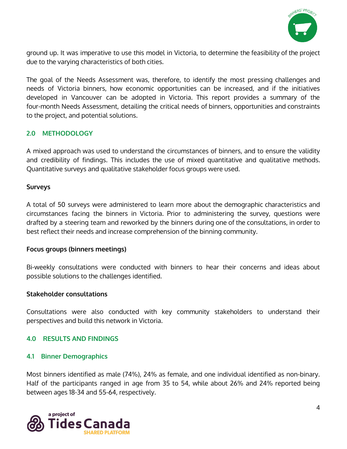

ground up. It was imperative to use this model in Victoria, to determine the feasibility of the project due to the varying characteristics of both cities.

The goal of the Needs Assessment was, therefore, to identify the most pressing challenges and needs of Victoria binners, how economic opportunities can be increased, and if the initiatives developed in Vancouver can be adopted in Victoria. This report provides a summary of the four-month Needs Assessment, detailing the critical needs of binners, opportunities and constraints to the project, and potential solutions.

## **2.0 METHODOLOGY**

A mixed approach was used to understand the circumstances of binners, and to ensure the validity and credibility of findings. This includes the use of mixed quantitative and qualitative methods. Quantitative surveys and qualitative stakeholder focus groups were used.

#### **Surveys**

A total of 50 surveys were administered to learn more about the demographic characteristics and circumstances facing the binners in Victoria. Prior to administering the survey, questions were drafted by a steering team and reworked by the binners during one of the consultations, in order to best reflect their needs and increase comprehension of the binning community.

#### **Focus groups (binners meetings)**

Bi-weekly consultations were conducted with binners to hear their concerns and ideas about possible solutions to the challenges identified.

#### **Stakeholder consultations**

Consultations were also conducted with key community stakeholders to understand their perspectives and build this network in Victoria.

#### **4.0 RESULTS AND FINDINGS**

#### **4.1 Binner Demographics**

Most binners identified as male (74%), 24% as female, and one individual identified as non-binary. Half of the participants ranged in age from 35 to 54, while about 26% and 24% reported being between ages 18-34 and 55-64, respectively.

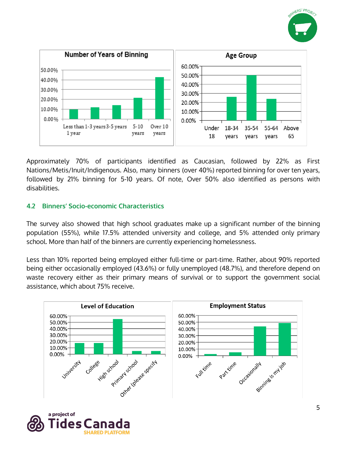



Approximately 70% of participants identified as Caucasian, followed by 22% as First Nations/Metis/Inuit/Indigenous. Also, many binners (over 40%) reported binning for over ten years, followed by 21% binning for 5-10 years. Of note, Over 50% also identified as persons with disabilities.

# **4.2 Binners' Socio-economic Characteristics**

The survey also showed that high school graduates make up a significant number of the binning population (55%), while 17.5% attended university and college, and 5% attended only primary school. More than half of the binners are currently experiencing homelessness.

Less than 10% reported being employed either full-time or part-time. Rather, about 90% reported being either occasionally employed (43.6%) or fully unemployed (48.7%), and therefore depend on waste recovery either as their primary means of survival or to support the government social assistance, which about 75% receive.



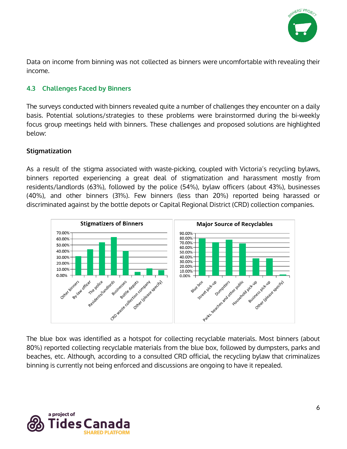

Data on income from binning was not collected as binners were uncomfortable with revealing their income.

# **4.3 Challenges Faced by Binners**

The surveys conducted with binners revealed quite a number of challenges they encounter on a daily basis. Potential solutions/strategies to these problems were brainstormed during the bi-weekly focus group meetings held with binners. These challenges and proposed solutions are highlighted below:

## **Stigmatization**

As a result of the stigma associated with waste-picking, coupled with Victoria's recycling bylaws, binners reported experiencing a great deal of stigmatization and harassment mostly from residents/landlords (63%), followed by the police (54%), bylaw officers (about 43%), businesses (40%), and other binners (31%). Few binners (less than 20%) reported being harassed or discriminated against by the bottle depots or Capital Regional District (CRD) collection companies.



The blue box was identified as a hotspot for collecting recyclable materials. Most binners (about 80%) reported collecting recyclable materials from the blue box, followed by dumpsters, parks and beaches, etc. Although, according to a consulted CRD official, the recycling bylaw that criminalizes binning is currently not being enforced and discussions are ongoing to have it repealed.

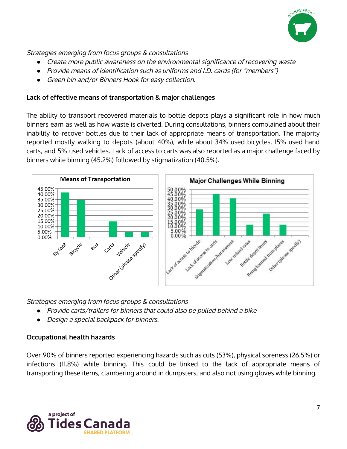

Strategies emerging from focus groups & consultations

- *●* Create more public awareness on the environmental significance of recovering waste
- *●* Provide means of identification such as uniforms and I.D. cards (for "members")
- *●* Green bin and/or Binners Hook for easy collection.

## **Lack of effective means of transportation & major challenges**

The ability to transport recovered materials to bottle depots plays a significant role in how much binners earn as well as how waste is diverted. During consultations, binners complained about their inability to recover bottles due to their lack of appropriate means of transportation. The majority reported mostly walking to depots (about 40%), while about 34% used bicycles, 15% used hand carts, and 5% used vehicles. Lack of access to carts was also reported as a major challenge faced by binners while binning (45.2%) followed by stigmatization (40.5%).



Strategies emerging from focus groups & consultations

- *●* Provide carts/trailers for binners that could also be pulled behind <sup>a</sup> bike
- *●* Design <sup>a</sup> special backpack for binners.

# **Occupational health hazards**

Over 90% of binners reported experiencing hazards such as cuts (53%), physical soreness (26.5%) or infections (11.8%) while binning. This could be linked to the lack of appropriate means of transporting these items, clambering around in dumpsters, and also not using gloves while binning.

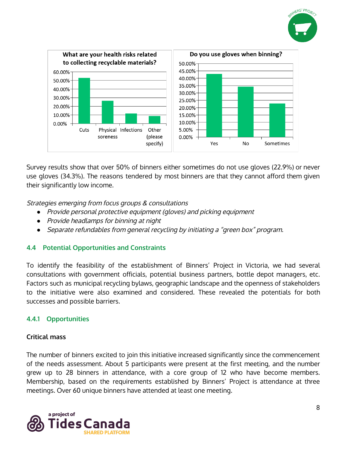



Survey results show that over 50% of binners either sometimes do not use gloves (22.9%) or never use gloves (34.3%). The reasons tendered by most binners are that they cannot afford them given their significantly low income.

Strategies emerging from focus groups & consultations

- *●* Provide personal protective equipment (gloves) and picking equipment
- *●* Provide headlamps for binning at night
- *●* Separate refundables from general recycling by initiating <sup>a</sup> "green box" program.

# **4.4 Potential Opportunities and Constraints**

To identify the feasibility of the establishment of Binners' Project in Victoria, we had several consultations with government officials, potential business partners, bottle depot managers, etc. Factors such as municipal recycling bylaws, geographic landscape and the openness of stakeholders to the initiative were also examined and considered. These revealed the potentials for both successes and possible barriers.

# **4.4.1 Opportunities**

# **Critical mass**

The number of binners excited to join this initiative increased significantly since the commencement of the needs assessment. About 5 participants were present at the first meeting, and the number grew up to 28 binners in attendance, with a core group of 12 who have become members. Membership, based on the requirements established by Binners' Project is attendance at three meetings. Over 60 unique binners have attended at least one meeting.

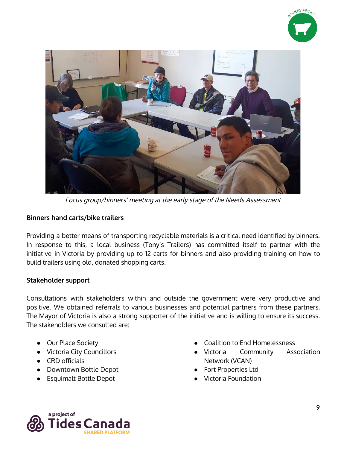



Focus group/binners' meeting at the early stage of the Needs Assessment

## **Binners hand carts/bike trailers**

Providing a better means of transporting recyclable materials is a critical need identified by binners. In response to this, a local business (Tony's Trailers) has committed itself to partner with the initiative in Victoria by providing up to 12 carts for binners and also providing training on how to build trailers using old, donated shopping carts.

#### **Stakeholder support**

Consultations with stakeholders within and outside the government were very productive and positive. We obtained referrals to various businesses and potential partners from these partners. The Mayor of Victoria is also a strong supporter of the initiative and is willing to ensure its success. The stakeholders we consulted are:

- **Our Place Society**
- Victoria City Councillors
- CRD officials
- Downtown Bottle Depot
- Esquimalt Bottle Depot
- Coalition to End Homelessness
- Victoria Community Association Network (VCAN)
- **Fort Properties Ltd**
- **Victoria Foundation**

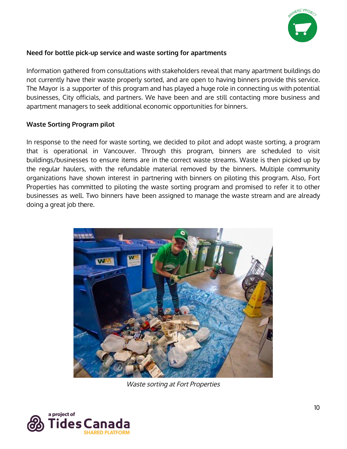

# **Need for bottle pick-up service and waste sorting for apartments**

Information gathered from consultations with stakeholders reveal that many apartment buildings do not currently have their waste properly sorted, and are open to having binners provide this service. The Mayor is a supporter of this program and has played a huge role in connecting us with potential businesses, City officials, and partners. We have been and are still contacting more business and apartment managers to seek additional economic opportunities for binners.

#### **Waste Sorting Program pilot**

In response to the need for waste sorting, we decided to pilot and adopt waste sorting, a program that is operational in Vancouver. Through this program, binners are scheduled to visit buildings/businesses to ensure items are in the correct waste streams. Waste is then picked up by the regular haulers, with the refundable material removed by the binners. Multiple community organizations have shown interest in partnering with binners on piloting this program. Also, Fort Properties has committed to piloting the waste sorting program and promised to refer it to other businesses as well. Two binners have been assigned to manage the waste stream and are already doing a great job there.



Waste sorting at Fort Properties

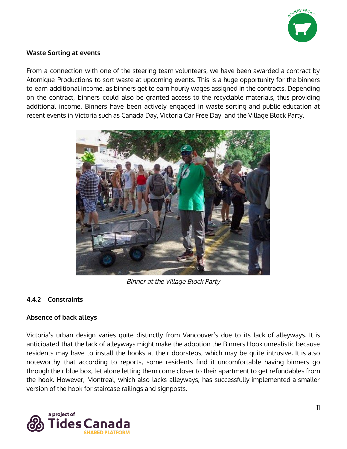

## **Waste Sorting at events**

From a connection with one of the steering team volunteers, we have been awarded a contract by Atomique Productions to sort waste at upcoming events. This is a huge opportunity for the binners to earn additional income, as binners get to earn hourly wages assigned in the contracts. Depending on the contract, binners could also be granted access to the recyclable materials, thus providing additional income. Binners have been actively engaged in waste sorting and public education at recent events in Victoria such as Canada Day, Victoria Car Free Day, and the Village Block Party.



Binner at the Village Block Party

# **4.4.2 Constraints**

# **Absence of back alleys**

Victoria's urban design varies quite distinctly from Vancouver's due to its lack of alleyways. It is anticipated that the lack of alleyways might make the adoption the Binners Hook unrealistic because residents may have to install the hooks at their doorsteps, which may be quite intrusive. It is also noteworthy that according to reports, some residents find it uncomfortable having binners go through their blue box, let alone letting them come closer to their apartment to get refundables from the hook. However, Montreal, which also lacks alleyways, has successfully implemented a smaller version of the hook for staircase railings and signposts.

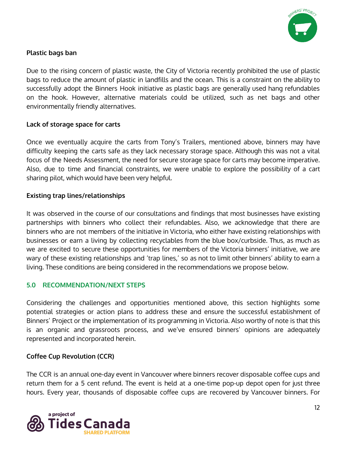

# **Plastic bags ban**

Due to the rising concern of plastic waste, the City of Victoria recently prohibited the use of plastic bags to reduce the amount of plastic in landfills and the ocean. This is a constraint on the ability to successfully adopt the Binners Hook initiative as plastic bags are generally used hang refundables on the hook. However, alternative materials could be utilized, such as net bags and other environmentally friendly alternatives.

#### **Lack of storage space for carts**

Once we eventually acquire the carts from Tony's Trailers, mentioned above, binners may have difficulty keeping the carts safe as they lack necessary storage space. Although this was not a vital focus of the Needs Assessment, the need for secure storage space for carts may become imperative. Also, due to time and financial constraints, we were unable to explore the possibility of a cart sharing pilot, which would have been very helpful.

## **Existing trap lines/relationships**

It was observed in the course of our consultations and findings that most businesses have existing partnerships with binners who collect their refundables. Also, we acknowledge that there are binners who are not members of the initiative in Victoria, who either have existing relationships with businesses or earn a living by collecting recyclables from the blue box/curbside. Thus, as much as we are excited to secure these opportunities for members of the Victoria binners' initiative, we are wary of these existing relationships and 'trap lines,' so as not to limit other binners' ability to earn a living. These conditions are being considered in the recommendations we propose below.

# **5.0 RECOMMENDATION/NEXT STEPS**

Considering the challenges and opportunities mentioned above, this section highlights some potential strategies or action plans to address these and ensure the successful establishment of Binners' Project or the implementation of its programming in Victoria. Also worthy of note is that this is an organic and grassroots process, and we've ensured binners' opinions are adequately represented and incorporated herein.

#### **Coffee Cup Revolution (CCR)**

The CCR is an annual one-day event in Vancouver where binners recover disposable coffee cups and return them for a 5 cent refund. The event is held at a one-time pop-up depot open for just three hours. Every year, thousands of disposable coffee cups are recovered by Vancouver binners. For

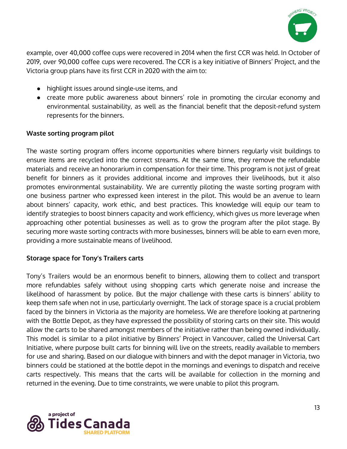

example, over 40,000 coffee cups were recovered in 2014 when the first CCR was held. In October of 2019, over 90,000 coffee cups were recovered. The CCR is a key initiative of Binners' Project, and the Victoria group plans have its first CCR in 2020 with the aim to:

- highlight issues around single-use items, and
- create more public awareness about binners' role in promoting the circular economy and environmental sustainability, as well as the financial benefit that the deposit-refund system represents for the binners.

# **Waste sorting program pilot**

The waste sorting program offers income opportunities where binners regularly visit buildings to ensure items are recycled into the correct streams. At the same time, they remove the refundable materials and receive an honorarium in compensation for their time. This program is not just of great benefit for binners as it provides additional income and improves their livelihoods, but it also promotes environmental sustainability. We are currently piloting the waste sorting program with one business partner who expressed keen interest in the pilot. This would be an avenue to learn about binners' capacity, work ethic, and best practices. This knowledge will equip our team to identify strategies to boost binners capacity and work efficiency, which gives us more leverage when approaching other potential businesses as well as to grow the program after the pilot stage. By securing more waste sorting contracts with more businesses, binners will be able to earn even more, providing a more sustainable means of livelihood.

# **Storage space for Tony's Trailers carts**

Tony's Trailers would be an enormous benefit to binners, allowing them to collect and transport more refundables safely without using shopping carts which generate noise and increase the likelihood of harassment by police. But the major challenge with these carts is binners' ability to keep them safe when not in use, particularly overnight. The lack of storage space is a crucial problem faced by the binners in Victoria as the majority are homeless. We are therefore looking at partnering with the Bottle Depot, as they have expressed the possibility of storing carts on their site. This would allow the carts to be shared amongst members of the initiative rather than being owned individually. This model is similar to a pilot initiative by Binners' Project in Vancouver, called the Universal Cart Initiative, where purpose built carts for binning will live on the streets, readily available to members for use and sharing. Based on our dialogue with binners and with the depot manager in Victoria, two binners could be stationed at the bottle depot in the mornings and evenings to dispatch and receive carts respectively. This means that the carts will be available for collection in the morning and returned in the evening. Due to time constraints, we were unable to pilot this program.

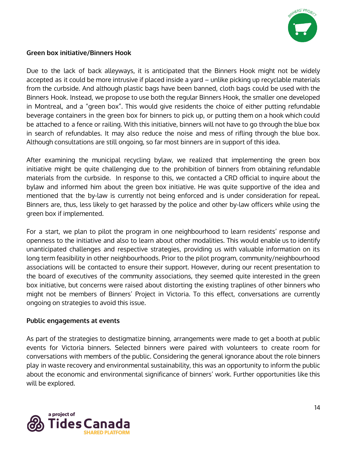

## **Green box initiative/Binners Hook**

Due to the lack of back alleyways, it is anticipated that the Binners Hook might not be widely accepted as it could be more intrusive if placed inside a yard – unlike picking up recyclable materials from the curbside. And although plastic bags have been banned, cloth bags could be used with the Binners Hook. Instead, we propose to use both the regular Binners Hook, the smaller one developed in Montreal, and a "green box". This would give residents the choice of either putting refundable beverage containers in the green box for binners to pick up, or putting them on a hook which could be attached to a fence or railing. With this initiative, binners will not have to go through the blue box in search of refundables. It may also reduce the noise and mess of rifling through the blue box. Although consultations are still ongoing, so far most binners are in support of this idea.

After examining the municipal recycling bylaw, we realized that implementing the green box initiative might be quite challenging due to the prohibition of binners from obtaining refundable materials from the curbside. In response to this, we contacted a CRD official to inquire about the bylaw and informed him about the green box initiative. He was quite supportive of the idea and mentioned that the by-law is currently not being enforced and is under consideration for repeal. Binners are, thus, less likely to get harassed by the police and other by-law officers while using the green box if implemented.

For a start, we plan to pilot the program in one neighbourhood to learn residents' response and openness to the initiative and also to learn about other modalities. This would enable us to identify unanticipated challenges and respective strategies, providing us with valuable information on its long term feasibility in other neighbourhoods. Prior to the pilot program, community/neighbourhood associations will be contacted to ensure their support. However, during our recent presentation to the board of executives of the community associations, they seemed quite interested in the green box initiative, but concerns were raised about distorting the existing traplines of other binners who might not be members of Binners' Project in Victoria. To this effect, conversations are currently ongoing on strategies to avoid this issue.

#### **Public engagements at events**

As part of the strategies to destigmatize binning, arrangements were made to get a booth at public events for Victoria binners. Selected binners were paired with volunteers to create room for conversations with members of the public. Considering the general ignorance about the role binners play in waste recovery and environmental sustainability, this was an opportunity to inform the public about the economic and environmental significance of binners' work. Further opportunities like this will be explored.

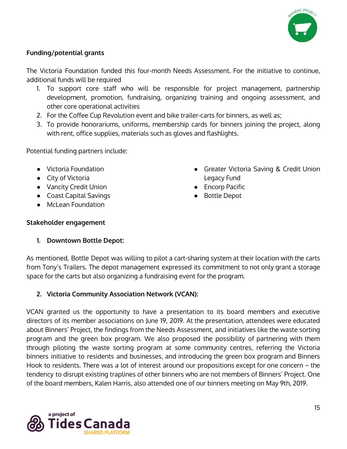

# **Funding/potential grants**

The Victoria Foundation funded this four-month Needs Assessment. For the initiative to continue, additional funds will be required

- 1. To support core staff who will be responsible for project management, partnership development, promotion, fundraising, organizing training and ongoing assessment, and other core operational activities
- 2. For the Coffee Cup Revolution event and bike trailer-carts for binners, as well as;
- 3. To provide honorariums, uniforms, membership cards for binners joining the project, along with rent, office supplies, materials such as gloves and flashlights.

Potential funding partners include:

- Victoria Foundation
- City of Victoria
- Vancity Credit Union
- Coast Capital Savings
- McLean Foundation
- Greater Victoria Saving & Credit Union Legacy Fund
- Encorp Pacific
- **Bottle Depot**

# **Stakeholder engagement**

# **1. Downtown Bottle Depot:**

As mentioned, Bottle Depot was willing to pilot a cart-sharing system at their location with the carts from Tony's Trailers. The depot management expressed its commitment to not only grant a storage space for the carts but also organizing a fundraising event for the program.

# **2. Victoria Community Association Network (VCAN):**

VCAN granted us the opportunity to have a presentation to its board members and executive directors of its member associations on June 19, 2019. At the presentation, attendees were educated about Binners' Project, the findings from the Needs Assessment, and initiatives like the waste sorting program and the green box program. We also proposed the possibility of partnering with them through piloting the waste sorting program at some community centres, referring the Victoria binners initiative to residents and businesses, and introducing the green box program and Binners Hook to residents. There was a lot of interest around our propositions except for one concern – the tendency to disrupt existing traplines of other binners who are not members of Binners' Project. One of the board members, Kalen Harris, also attended one of our binners meeting on May 9th, 2019.